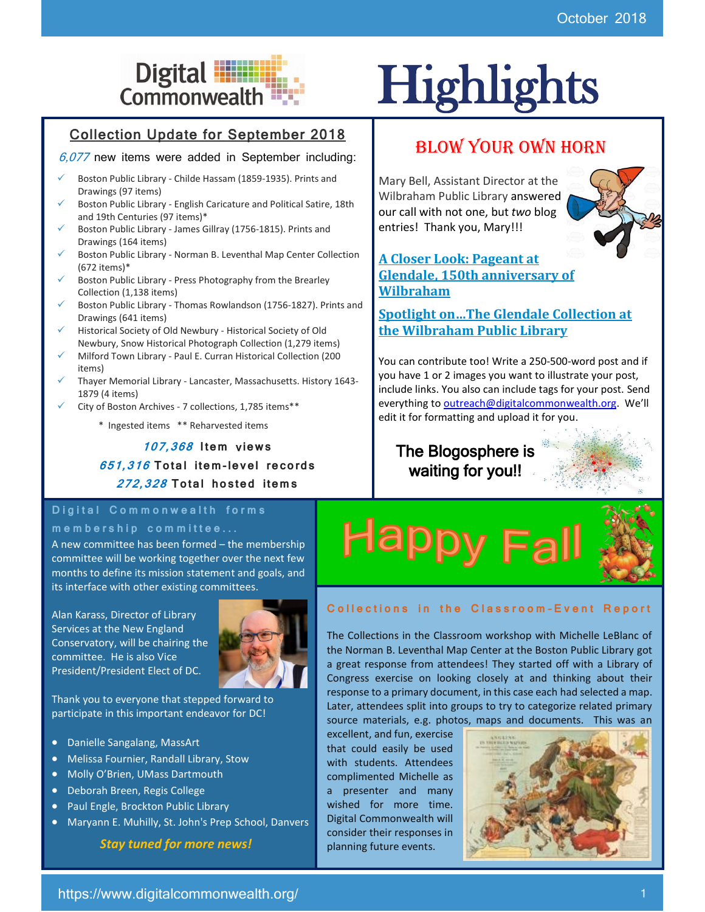# Digital **Highlights**<br>Commonwealth

#### Collection Update for September 2018

#### $6,077$  new items were added in September including:

- Boston Public Library Childe Hassam (1859-1935). Prints and Drawings (97 items)
- Boston Public Library English Caricature and Political Satire, 18th and 19th Centuries (97 items)\*
- Boston Public Library James Gillray (1756-1815). Prints and Drawings (164 items)
- Boston Public Library Norman B. Leventhal Map Center Collection (672 items)\*
- Boston Public Library Press Photography from the Brearley Collection (1,138 items)
- Boston Public Library Thomas Rowlandson (1756-1827). Prints and Drawings (641 items)
- Historical Society of Old Newbury Historical Society of Old Newbury, Snow Historical Photograph Collection (1,279 items)
- Milford Town Library Paul E. Curran Historical Collection (200 items)
- Thayer Memorial Library Lancaster, Massachusetts. History 1643-1879 (4 items)
- City of Boston Archives 7 collections, 1,785 items\*\*
	- \* Ingested items \*\* Reharvested items

**107,368 I tem** v**iew s 651,316 To tal i tem-le vel re co rds 272,328 To tal ho s ted i tem s**

#### **D i g i t a l C o m m o n w e a l t h f o r m s**

#### **m e m b e r s h i p c o m m i t t e e ...**

A new committee has been formed – the membership committee will be working together over the next few months to define its mission statement and goals, and its interface with other existing committees.

Alan Karass, Director of Library Services at the New England Conservatory, will be chairing the committee. He is also Vice President/President Elect of DC.



Thank you to everyone that stepped forward to participate in this important endeavor for DC!

- Danielle Sangalang, MassArt
- Melissa Fournier, Randall Library, Stow
- Molly O'Brien, UMass Dartmouth
- Deborah Breen, Regis College
- Paul Engle, Brockton Public Library
- Maryann E. Muhilly, St. John's Prep School, Danvers

*Stay tuned for more news!*

### BLOW YOUR OWN HORN

Mary Bell, Assistant Director at the Wilbraham Public Library answered our call with not one, but *two* blog entries! Thank you, Mary!!!



#### **[A Closer Look: Pageant at](http://blog.digitalcommonwealth.org/?p=1711)  [Glendale, 150th anniversary of](http://blog.digitalcommonwealth.org/?p=1711)  [Wilbraham](http://blog.digitalcommonwealth.org/?p=1711)**

**[Spotlight on…The Glendale Collection at](http://blog.digitalcommonwealth.org/?p=1704)  [the Wilbraham Public Library](http://blog.digitalcommonwealth.org/?p=1704)**

You can contribute too! Write a 250-500-word post and if you have 1 or 2 images you want to illustrate your post, include links. You also can include tags for your post. Send everything to **outreach@digitalcommonwealth.org**. We'll edit it for formatting and upload it for you.

The Blogosphere is waiting for you!!



#### **Collections in the Classroom-Event Report**

The Collections in the Classroom workshop with Michelle LeBlanc of the Norman B. Leventhal Map Center at the Boston Public Library got a great response from attendees! They started off with a Library of Congress exercise on looking closely at and thinking about their response to a primary document, in this case each had selected a map. Later, attendees split into groups to try to categorize related primary source materials, e.g. photos, maps and documents. This was an

excellent, and fun, exercise that could easily be used with students. Attendees complimented Michelle as a presenter and many wished for more time. Digital Commonwealth will consider their responses in planning future events.